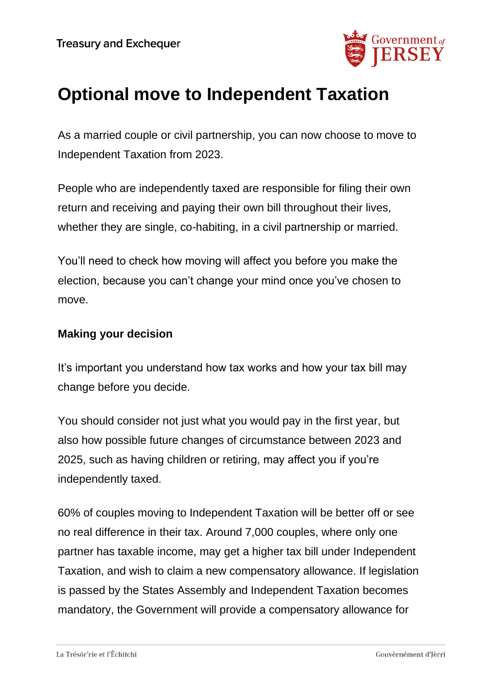

# **Optional move to Independent Taxation**

As a married couple or civil partnership, you can now choose to move to Independent Taxation from 2023.

People who are independently taxed are responsible for filing their own return and receiving and paying their own bill throughout their lives, whether they are single, co-habiting, in a civil partnership or married.

You'll need to check how moving will affect you before you make the election, because you can't change your mind once you've chosen to move.

#### **Making your decision**

It's important you understand how tax works and how your tax bill may change before you decide.

You should consider not just what you would pay in the first year, but also how possible future changes of circumstance between 2023 and 2025, such as having children or retiring, may affect you if you're independently taxed.

60% of couples moving to Independent Taxation will be better off or see no real difference in their tax. Around 7,000 couples, where only one partner has taxable income, may get a higher tax bill under Independent Taxation, and wish to claim a new compensatory allowance. If legislation is passed by the States Assembly and Independent Taxation becomes mandatory, the Government will provide a compensatory allowance for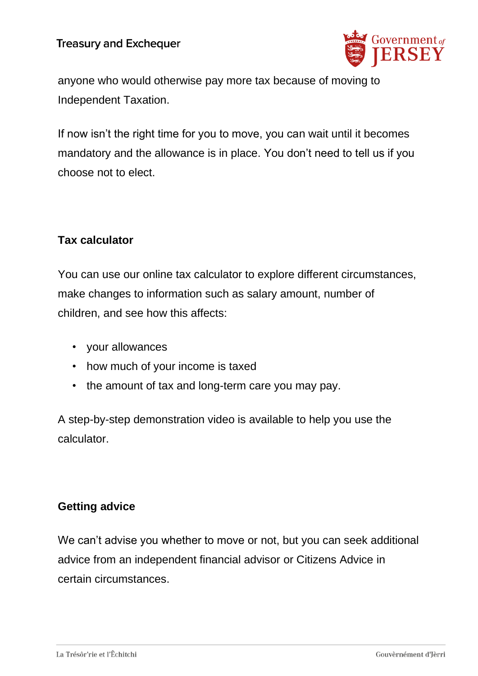# **Treasury and Exchequer**



anyone who would otherwise pay more tax because of moving to Independent Taxation.

If now isn't the right time for you to move, you can wait until it becomes mandatory and the allowance is in place. You don't need to tell us if you choose not to elect.

# **Tax calculator**

You can use our online tax calculator to explore different circumstances, make changes to information such as salary amount, number of children, and see how this affects:

- your allowances
- how much of your income is taxed
- the amount of tax and long-term care you may pay.

A step-by-step demonstration video is available to help you use the calculator.

#### **Getting advice**

We can't advise you whether to move or not, but you can seek additional advice from an independent financial advisor or Citizens Advice in certain circumstances.